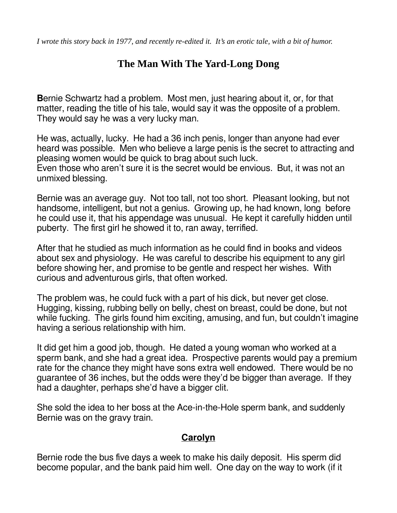*I wrote this story back in 1977, and recently re-edited it. It's an erotic tale, with a bit of humor.*

# **The Man With The Yard-Long Dong**

**B**ernie Schwartz had a problem. Most men, just hearing about it, or, for that matter, reading the title of his tale, would say it was the opposite of a problem. They would say he was a very lucky man.

He was, actually, lucky. He had a 36 inch penis, longer than anyone had ever heard was possible. Men who believe a large penis is the secret to attracting and pleasing women would be quick to brag about such luck. Even those who aren't sure it is the secret would be envious. But, it was not an unmixed blessing.

Bernie was an average guy. Not too tall, not too short. Pleasant looking, but not handsome, intelligent, but not a genius. Growing up, he had known, long before he could use it, that his appendage was unusual. He kept it carefully hidden until puberty. The first girl he showed it to, ran away, terrified.

After that he studied as much information as he could find in books and videos about sex and physiology. He was careful to describe his equipment to any girl before showing her, and promise to be gentle and respect her wishes. With curious and adventurous girls, that often worked.

The problem was, he could fuck with a part of his dick, but never get close. Hugging, kissing, rubbing belly on belly, chest on breast, could be done, but not while fucking. The girls found him exciting, amusing, and fun, but couldn't imagine having a serious relationship with him.

It did get him a good job, though. He dated a young woman who worked at a sperm bank, and she had a great idea. Prospective parents would pay a premium rate for the chance they might have sons extra well endowed. There would be no guarantee of 36 inches, but the odds were they'd be bigger than average. If they had a daughter, perhaps she'd have a bigger clit.

She sold the idea to her boss at the Ace-in-the-Hole sperm bank, and suddenly Bernie was on the gravy train.

### **Carolyn**

Bernie rode the bus five days a week to make his daily deposit. His sperm did become popular, and the bank paid him well. One day on the way to work (if it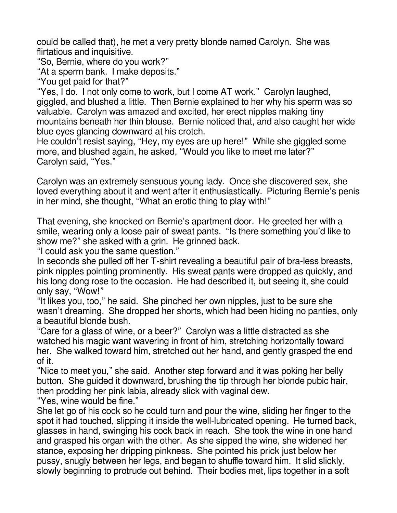could be called that), he met a very pretty blonde named Carolyn. She was flirtatious and inquisitive.

"So, Bernie, where do you work?"

"At a sperm bank. I make deposits."

"You get paid for that?"

"Yes, I do. I not only come to work, but I come AT work." Carolyn laughed, giggled, and blushed a little. Then Bernie explained to her why his sperm was so valuable. Carolyn was amazed and excited, her erect nipples making tiny mountains beneath her thin blouse. Bernie noticed that, and also caught her wide blue eyes glancing downward at his crotch.

He couldn't resist saying, "Hey, my eyes are up here!" While she giggled some more, and blushed again, he asked, "Would you like to meet me later?" Carolyn said, "Yes."

Carolyn was an extremely sensuous young lady. Once she discovered sex, she loved everything about it and went after it enthusiastically. Picturing Bernie's penis in her mind, she thought, "What an erotic thing to play with!"

That evening, she knocked on Bernie's apartment door. He greeted her with a smile, wearing only a loose pair of sweat pants. "Is there something you'd like to show me?" she asked with a grin. He grinned back.

"I could ask you the same question."

In seconds she pulled off her T-shirt revealing a beautiful pair of bra-less breasts, pink nipples pointing prominently. His sweat pants were dropped as quickly, and his long dong rose to the occasion. He had described it, but seeing it, she could only say, "Wow!"

"It likes you, too," he said. She pinched her own nipples, just to be sure she wasn't dreaming. She dropped her shorts, which had been hiding no panties, only a beautiful blonde bush.

"Care for a glass of wine, or a beer?" Carolyn was a little distracted as she watched his magic want wavering in front of him, stretching horizontally toward her. She walked toward him, stretched out her hand, and gently grasped the end of it.

"Nice to meet you," she said. Another step forward and it was poking her belly button. She guided it downward, brushing the tip through her blonde pubic hair, then prodding her pink labia, already slick with vaginal dew.

"Yes, wine would be fine."

She let go of his cock so he could turn and pour the wine, sliding her finger to the spot it had touched, slipping it inside the well-lubricated opening. He turned back, glasses in hand, swinging his cock back in reach. She took the wine in one hand and grasped his organ with the other. As she sipped the wine, she widened her stance, exposing her dripping pinkness. She pointed his prick just below her pussy, snugly between her legs, and began to shuffle toward him. It slid slickly, slowly beginning to protrude out behind. Their bodies met, lips together in a soft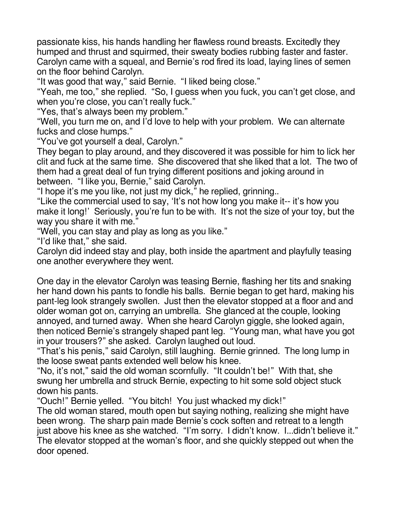passionate kiss, his hands handling her flawless round breasts. Excitedly they humped and thrust and squirmed, their sweaty bodies rubbing faster and faster. Carolyn came with a squeal, and Bernie's rod fired its load, laying lines of semen on the floor behind Carolyn.

"It was good that way," said Bernie. "I liked being close."

"Yeah, me too," she replied. "So, I guess when you fuck, you can't get close, and when you're close, you can't really fuck."

"Yes, that's always been my problem."

"Well, you turn me on, and I'd love to help with your problem. We can alternate fucks and close humps."

"You've got yourself a deal, Carolyn."

They began to play around, and they discovered it was possible for him to lick her clit and fuck at the same time. She discovered that she liked that a lot. The two of them had a great deal of fun trying different positions and joking around in between. "I like you, Bernie," said Carolyn.

"I hope it's me you like, not just my dick," he replied, grinning..

"Like the commercial used to say, 'It's not how long you make it-- it's how you make it long!' Seriously, you're fun to be with. It's not the size of your toy, but the way you share it with me."

"Well, you can stay and play as long as you like."

"I'd like that," she said.

Carolyn did indeed stay and play, both inside the apartment and playfully teasing one another everywhere they went.

One day in the elevator Carolyn was teasing Bernie, flashing her tits and snaking her hand down his pants to fondle his balls. Bernie began to get hard, making his pant-leg look strangely swollen. Just then the elevator stopped at a floor and and older woman got on, carrying an umbrella. She glanced at the couple, looking annoyed, and turned away. When she heard Carolyn giggle, she looked again, then noticed Bernie's strangely shaped pant leg. "Young man, what have you got in your trousers?" she asked. Carolyn laughed out loud.

"That's his penis," said Carolyn, still laughing. Bernie grinned. The long lump in the loose sweat pants extended well below his knee.

"No, it's not," said the old woman scornfully. "It couldn't be!" With that, she swung her umbrella and struck Bernie, expecting to hit some sold object stuck down his pants.

"Ouch!" Bernie yelled. "You bitch! You just whacked my dick!"

The old woman stared, mouth open but saying nothing, realizing she might have been wrong. The sharp pain made Bernie's cock soften and retreat to a length just above his knee as she watched. "I'm sorry. I didn't know. I...didn't believe it." The elevator stopped at the woman's floor, and she quickly stepped out when the door opened.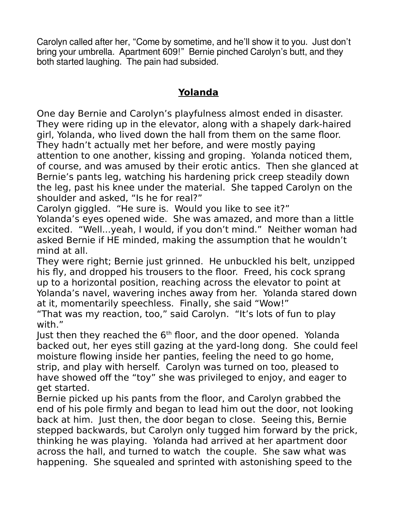Carolyn called after her, "Come by sometime, and he'll show it to you. Just don't bring your umbrella. Apartment 609!" Bernie pinched Carolyn's butt, and they both started laughing. The pain had subsided.

### **Yolanda**

One day Bernie and Carolyn's playfulness almost ended in disaster. They were riding up in the elevator, along with a shapely dark-haired girl, Yolanda, who lived down the hall from them on the same floor. They hadn't actually met her before, and were mostly paying attention to one another, kissing and groping. Yolanda noticed them, of course, and was amused by their erotic antics. Then she glanced at Bernie's pants leg, watching his hardening prick creep steadily down the leg, past his knee under the material. She tapped Carolyn on the shoulder and asked, "Is he for real?"

Carolyn giggled. "He sure is. Would you like to see it?"

Yolanda's eyes opened wide. She was amazed, and more than a little excited. "Well...yeah, I would, if you don't mind." Neither woman had asked Bernie if HE minded, making the assumption that he wouldn't mind at all.

They were right; Bernie just grinned. He unbuckled his belt, unzipped his fly, and dropped his trousers to the floor. Freed, his cock sprang up to a horizontal position, reaching across the elevator to point at Yolanda's navel, wavering inches away from her. Yolanda stared down at it, momentarily speechless. Finally, she said "Wow!"

"That was my reaction, too," said Carolyn. "It's lots of fun to play with."

Just then they reached the 6<sup>th</sup> floor, and the door opened. Yolanda backed out, her eyes still gazing at the yard-long dong. She could feel moisture flowing inside her panties, feeling the need to go home, strip, and play with herself. Carolyn was turned on too, pleased to have showed off the "toy" she was privileged to enjoy, and eager to get started.

Bernie picked up his pants from the floor, and Carolyn grabbed the end of his pole firmly and began to lead him out the door, not looking back at him. Just then, the door began to close. Seeing this, Bernie stepped backwards, but Carolyn only tugged him forward by the prick, thinking he was playing. Yolanda had arrived at her apartment door across the hall, and turned to watch the couple. She saw what was happening. She squealed and sprinted with astonishing speed to the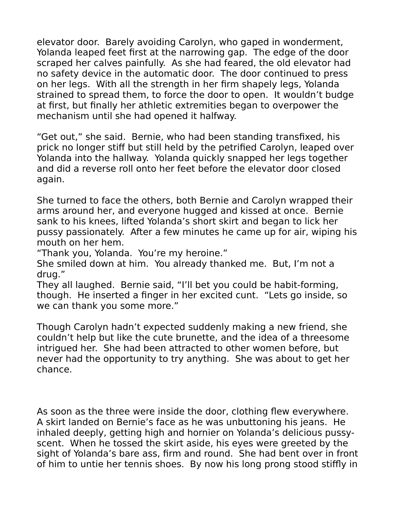elevator door. Barely avoiding Carolyn, who gaped in wonderment, Yolanda leaped feet first at the narrowing gap. The edge of the door scraped her calves painfully. As she had feared, the old elevator had no safety device in the automatic door. The door continued to press on her legs. With all the strength in her firm shapely legs, Yolanda strained to spread them, to force the door to open. It wouldn't budge at first, but finally her athletic extremities began to overpower the mechanism until she had opened it halfway.

"Get out," she said. Bernie, who had been standing transfixed, his prick no longer stiff but still held by the petrified Carolyn, leaped over Yolanda into the hallway. Yolanda quickly snapped her legs together and did a reverse roll onto her feet before the elevator door closed again.

She turned to face the others, both Bernie and Carolyn wrapped their arms around her, and everyone hugged and kissed at once. Bernie sank to his knees, lifted Yolanda's short skirt and began to lick her pussy passionately. After a few minutes he came up for air, wiping his mouth on her hem.

"Thank you, Yolanda. You're my heroine."

She smiled down at him. You already thanked me. But, I'm not a drug."

They all laughed. Bernie said, "I'll bet you could be habit-forming, though. He inserted a finger in her excited cunt. "Lets go inside, so we can thank you some more."

Though Carolyn hadn't expected suddenly making a new friend, she couldn't help but like the cute brunette, and the idea of a threesome intrigued her. She had been attracted to other women before, but never had the opportunity to try anything. She was about to get her chance.

As soon as the three were inside the door, clothing flew everywhere. A skirt landed on Bernie's face as he was unbuttoning his jeans. He inhaled deeply, getting high and hornier on Yolanda's delicious pussyscent. When he tossed the skirt aside, his eyes were greeted by the sight of Yolanda's bare ass, firm and round. She had bent over in front of him to untie her tennis shoes. By now his long prong stood stiffly in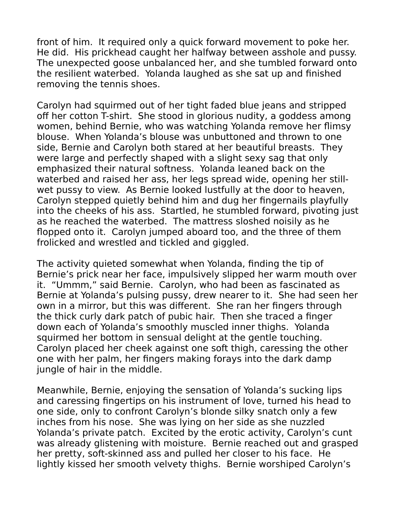front of him. It required only a quick forward movement to poke her. He did. His prickhead caught her halfway between asshole and pussy. The unexpected goose unbalanced her, and she tumbled forward onto the resilient waterbed. Yolanda laughed as she sat up and finished removing the tennis shoes.

Carolyn had squirmed out of her tight faded blue jeans and stripped off her cotton T-shirt. She stood in glorious nudity, a goddess among women, behind Bernie, who was watching Yolanda remove her flimsy blouse. When Yolanda's blouse was unbuttoned and thrown to one side, Bernie and Carolyn both stared at her beautiful breasts. They were large and perfectly shaped with a slight sexy sag that only emphasized their natural softness. Yolanda leaned back on the waterbed and raised her ass, her legs spread wide, opening her stillwet pussy to view. As Bernie looked lustfully at the door to heaven, Carolyn stepped quietly behind him and dug her fingernails playfully into the cheeks of his ass. Startled, he stumbled forward, pivoting just as he reached the waterbed. The mattress sloshed noisily as he flopped onto it. Carolyn jumped aboard too, and the three of them frolicked and wrestled and tickled and giggled.

The activity quieted somewhat when Yolanda, finding the tip of Bernie's prick near her face, impulsively slipped her warm mouth over it. "Ummm," said Bernie. Carolyn, who had been as fascinated as Bernie at Yolanda's pulsing pussy, drew nearer to it. She had seen her own in a mirror, but this was different. She ran her fingers through the thick curly dark patch of pubic hair. Then she traced a finger down each of Yolanda's smoothly muscled inner thighs. Yolanda squirmed her bottom in sensual delight at the gentle touching. Carolyn placed her cheek against one soft thigh, caressing the other one with her palm, her fingers making forays into the dark damp jungle of hair in the middle.

Meanwhile, Bernie, enjoying the sensation of Yolanda's sucking lips and caressing fingertips on his instrument of love, turned his head to one side, only to confront Carolyn's blonde silky snatch only a few inches from his nose. She was lying on her side as she nuzzled Yolanda's private patch. Excited by the erotic activity, Carolyn's cunt was already glistening with moisture. Bernie reached out and grasped her pretty, soft-skinned ass and pulled her closer to his face. He lightly kissed her smooth velvety thighs. Bernie worshiped Carolyn's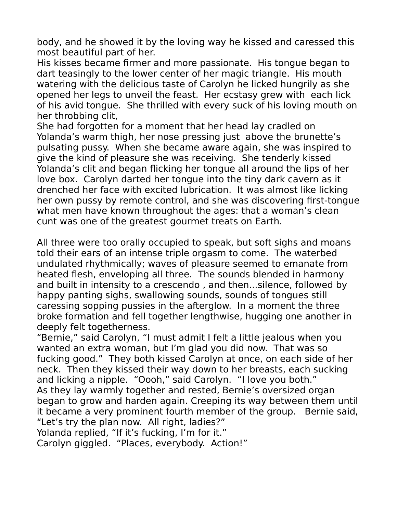body, and he showed it by the loving way he kissed and caressed this most beautiful part of her.

His kisses became firmer and more passionate. His tongue began to dart teasingly to the lower center of her magic triangle. His mouth watering with the delicious taste of Carolyn he licked hungrily as she opened her legs to unveil the feast. Her ecstasy grew with each lick of his avid tongue. She thrilled with every suck of his loving mouth on her throbbing clit,

She had forgotten for a moment that her head lay cradled on Yolanda's warm thigh, her nose pressing just above the brunette's pulsating pussy. When she became aware again, she was inspired to give the kind of pleasure she was receiving. She tenderly kissed Yolanda's clit and began flicking her tongue all around the lips of her love box. Carolyn darted her tongue into the tiny dark cavern as it drenched her face with excited lubrication. It was almost like licking her own pussy by remote control, and she was discovering first-tongue what men have known throughout the ages: that a woman's clean cunt was one of the greatest gourmet treats on Earth.

All three were too orally occupied to speak, but soft sighs and moans told their ears of an intense triple orgasm to come. The waterbed undulated rhythmically; waves of pleasure seemed to emanate from heated flesh, enveloping all three. The sounds blended in harmony and built in intensity to a crescendo , and then...silence, followed by happy panting sighs, swallowing sounds, sounds of tongues still caressing sopping pussies in the afterglow. In a moment the three broke formation and fell together lengthwise, hugging one another in deeply felt togetherness.

"Bernie," said Carolyn, "I must admit I felt a little jealous when you wanted an extra woman, but I'm glad you did now. That was so fucking good." They both kissed Carolyn at once, on each side of her neck. Then they kissed their way down to her breasts, each sucking and licking a nipple. "Oooh," said Carolyn. "I love you both." As they lay warmly together and rested, Bernie's oversized organ began to grow and harden again. Creeping its way between them until it became a very prominent fourth member of the group. Bernie said, "Let's try the plan now. All right, ladies?"

Yolanda replied, "If it's fucking, I'm for it."

Carolyn giggled. "Places, everybody. Action!"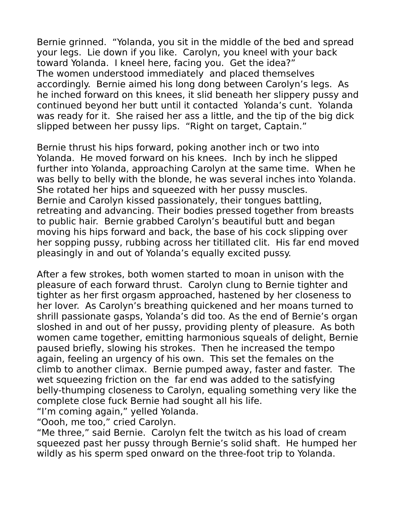Bernie grinned. "Yolanda, you sit in the middle of the bed and spread your legs. Lie down if you like. Carolyn, you kneel with your back toward Yolanda. I kneel here, facing you. Get the idea?" The women understood immediately and placed themselves accordingly. Bernie aimed his long dong between Carolyn's legs. As he inched forward on this knees, it slid beneath her slippery pussy and continued beyond her butt until it contacted Yolanda's cunt. Yolanda was ready for it. She raised her ass a little, and the tip of the big dick slipped between her pussy lips. "Right on target, Captain."

Bernie thrust his hips forward, poking another inch or two into Yolanda. He moved forward on his knees. Inch by inch he slipped further into Yolanda, approaching Carolyn at the same time. When he was belly to belly with the blonde, he was several inches into Yolanda. She rotated her hips and squeezed with her pussy muscles. Bernie and Carolyn kissed passionately, their tongues battling, retreating and advancing. Their bodies pressed together from breasts to public hair. Bernie grabbed Carolyn's beautiful butt and began moving his hips forward and back, the base of his cock slipping over her sopping pussy, rubbing across her titillated clit. His far end moved pleasingly in and out of Yolanda's equally excited pussy.

After a few strokes, both women started to moan in unison with the pleasure of each forward thrust. Carolyn clung to Bernie tighter and tighter as her first orgasm approached, hastened by her closeness to her lover. As Carolyn's breathing quickened and her moans turned to shrill passionate gasps, Yolanda's did too. As the end of Bernie's organ sloshed in and out of her pussy, providing plenty of pleasure. As both women came together, emitting harmonious squeals of delight, Bernie paused briefly, slowing his strokes. Then he increased the tempo again, feeling an urgency of his own. This set the females on the climb to another climax. Bernie pumped away, faster and faster. The wet squeezing friction on the far end was added to the satisfying belly-thumping closeness to Carolyn, equaling something very like the complete close fuck Bernie had sought all his life.

"I'm coming again," yelled Yolanda.

"Oooh, me too," cried Carolyn.

"Me three," said Bernie. Carolyn felt the twitch as his load of cream squeezed past her pussy through Bernie's solid shaft. He humped her wildly as his sperm sped onward on the three-foot trip to Yolanda.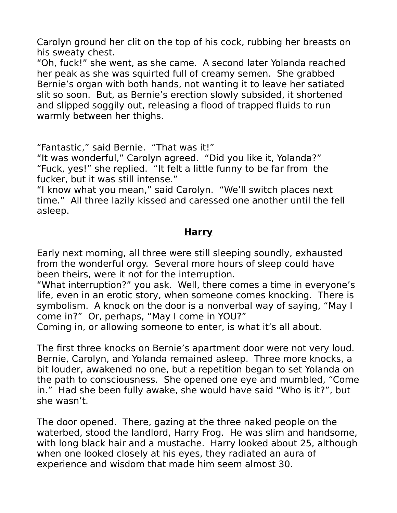Carolyn ground her clit on the top of his cock, rubbing her breasts on his sweaty chest.

"Oh, fuck!" she went, as she came. A second later Yolanda reached her peak as she was squirted full of creamy semen. She grabbed Bernie's organ with both hands, not wanting it to leave her satiated slit so soon. But, as Bernie's erection slowly subsided, it shortened and slipped soggily out, releasing a flood of trapped fluids to run warmly between her thighs.

"Fantastic," said Bernie. "That was it!"

"It was wonderful," Carolyn agreed. "Did you like it, Yolanda?" "Fuck, yes!" she replied. "It felt a little funny to be far from the fucker, but it was still intense."

"I know what you mean," said Carolyn. "We'll switch places next time." All three lazily kissed and caressed one another until the fell asleep.

### **Harry**

Early next morning, all three were still sleeping soundly, exhausted from the wonderful orgy. Several more hours of sleep could have been theirs, were it not for the interruption.

"What interruption?" you ask. Well, there comes a time in everyone's life, even in an erotic story, when someone comes knocking. There is symbolism. A knock on the door is a nonverbal way of saying, "May I come in?" Or, perhaps, "May I come in YOU?"

Coming in, or allowing someone to enter, is what it's all about.

The first three knocks on Bernie's apartment door were not very loud. Bernie, Carolyn, and Yolanda remained asleep. Three more knocks, a bit louder, awakened no one, but a repetition began to set Yolanda on the path to consciousness. She opened one eye and mumbled, "Come in." Had she been fully awake, she would have said "Who is it?", but she wasn't.

The door opened. There, gazing at the three naked people on the waterbed, stood the landlord, Harry Frog. He was slim and handsome, with long black hair and a mustache. Harry looked about 25, although when one looked closely at his eyes, they radiated an aura of experience and wisdom that made him seem almost 30.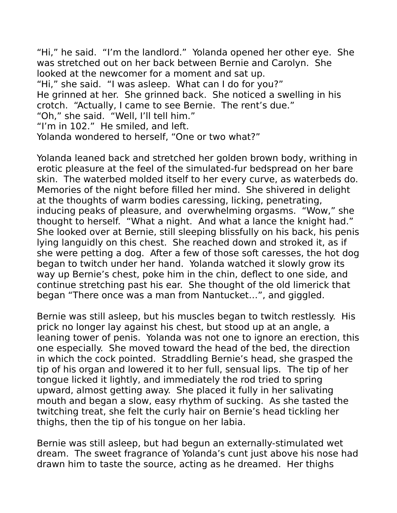"Hi," he said. "I'm the landlord." Yolanda opened her other eye. She was stretched out on her back between Bernie and Carolyn. She looked at the newcomer for a moment and sat up.

"Hi," she said. "I was asleep. What can I do for you?" He grinned at her. She grinned back. She noticed a swelling in his crotch. "Actually, I came to see Bernie. The rent's due."

"Oh," she said. "Well, I'll tell him."

"I'm in 102." He smiled, and left.

Yolanda wondered to herself, "One or two what?"

Yolanda leaned back and stretched her golden brown body, writhing in erotic pleasure at the feel of the simulated-fur bedspread on her bare skin. The waterbed molded itself to her every curve, as waterbeds do. Memories of the night before filled her mind. She shivered in delight at the thoughts of warm bodies caressing, licking, penetrating, inducing peaks of pleasure, and overwhelming orgasms. "Wow," she thought to herself. "What a night. And what a lance the knight had." She looked over at Bernie, still sleeping blissfully on his back, his penis lying languidly on this chest. She reached down and stroked it, as if she were petting a dog. After a few of those soft caresses, the hot dog began to twitch under her hand. Yolanda watched it slowly grow its way up Bernie's chest, poke him in the chin, deflect to one side, and continue stretching past his ear. She thought of the old limerick that began "There once was a man from Nantucket…", and giggled.

Bernie was still asleep, but his muscles began to twitch restlessly. His prick no longer lay against his chest, but stood up at an angle, a leaning tower of penis. Yolanda was not one to ignore an erection, this one especially. She moved toward the head of the bed, the direction in which the cock pointed. Straddling Bernie's head, she grasped the tip of his organ and lowered it to her full, sensual lips. The tip of her tongue licked it lightly, and immediately the rod tried to spring upward, almost getting away. She placed it fully in her salivating mouth and began a slow, easy rhythm of sucking. As she tasted the twitching treat, she felt the curly hair on Bernie's head tickling her thighs, then the tip of his tongue on her labia.

Bernie was still asleep, but had begun an externally-stimulated wet dream. The sweet fragrance of Yolanda's cunt just above his nose had drawn him to taste the source, acting as he dreamed. Her thighs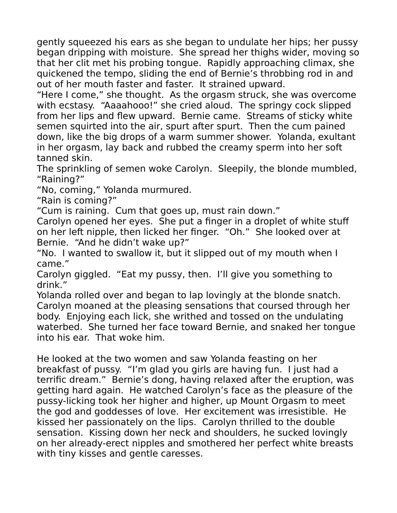gently squeezed his ears as she began to undulate her hips; her pussy began dripping with moisture. She spread her thighs wider, moving so that her clit met his probing tongue. Rapidly approaching climax, she quickened the tempo, sliding the end of Bernie's throbbing rod in and out of her mouth faster and faster. It strained upward.

"Here I come," she thought. As the orgasm struck, she was overcome with ecstasy. "Aaaahooo!" she cried aloud. The springy cock slipped from her lips and flew upward. Bernie came. Streams of sticky white semen squirted into the air, spurt after spurt. Then the cum pained down, like the big drops of a warm summer shower. Yolanda, exultant in her orgasm, lay back and rubbed the creamy sperm into her soft tanned skin.

The sprinkling of semen woke Carolyn. Sleepily, the blonde mumbled, "Raining?"

"No, coming," Yolanda murmured.

"Rain is coming?"

"Cum is raining. Cum that goes up, must rain down."

Carolyn opened her eyes. She put a finger in a droplet of white stuff on her left nipple, then licked her finger. "Oh." She looked over at Bernie. "And he didn't wake up?"

"No. I wanted to swallow it, but it slipped out of my mouth when I came."

Carolyn giggled. "Eat my pussy, then. I'll give you something to drink."

Yolanda rolled over and began to lap lovingly at the blonde snatch. Carolyn moaned at the pleasing sensations that coursed through her body. Enjoying each lick, she writhed and tossed on the undulating waterbed. She turned her face toward Bernie, and snaked her tongue into his ear. That woke him.

He looked at the two women and saw Yolanda feasting on her breakfast of pussy. "I'm glad you girls are having fun. I just had a terrific dream." Bernie's dong, having relaxed after the eruption, was getting hard again. He watched Carolyn's face as the pleasure of the pussy-licking took her higher and higher, up Mount Orgasm to meet the god and goddesses of love. Her excitement was irresistible. He kissed her passionately on the lips. Carolyn thrilled to the double sensation. Kissing down her neck and shoulders, he sucked lovingly on her already-erect nipples and smothered her perfect white breasts with tiny kisses and gentle caresses.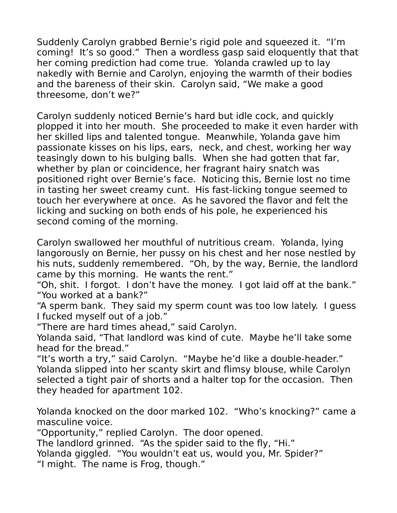Suddenly Carolyn grabbed Bernie's rigid pole and squeezed it. "I'm coming! It's so good." Then a wordless gasp said eloquently that that her coming prediction had come true. Yolanda crawled up to lay nakedly with Bernie and Carolyn, enjoying the warmth of their bodies and the bareness of their skin. Carolyn said, "We make a good threesome, don't we?"

Carolyn suddenly noticed Bernie's hard but idle cock, and quickly plopped it into her mouth. She proceeded to make it even harder with her skilled lips and talented tongue. Meanwhile, Yolanda gave him passionate kisses on his lips, ears, neck, and chest, working her way teasingly down to his bulging balls. When she had gotten that far, whether by plan or coincidence, her fragrant hairy snatch was positioned right over Bernie's face. Noticing this, Bernie lost no time in tasting her sweet creamy cunt. His fast-licking tongue seemed to touch her everywhere at once. As he savored the flavor and felt the licking and sucking on both ends of his pole, he experienced his second coming of the morning.

Carolyn swallowed her mouthful of nutritious cream. Yolanda, lying langorously on Bernie, her pussy on his chest and her nose nestled by his nuts, suddenly remembered. "Oh, by the way, Bernie, the landlord came by this morning. He wants the rent."

"Oh, shit. I forgot. I don't have the money. I got laid off at the bank." "You worked at a bank?"

"A sperm bank. They said my sperm count was too low lately. I guess I fucked myself out of a job."

"There are hard times ahead," said Carolyn.

Yolanda said, "That landlord was kind of cute. Maybe he'll take some head for the bread."

"It's worth a try," said Carolyn. "Maybe he'd like a double-header." Yolanda slipped into her scanty skirt and flimsy blouse, while Carolyn selected a tight pair of shorts and a halter top for the occasion. Then they headed for apartment 102.

Yolanda knocked on the door marked 102. "Who's knocking?" came a masculine voice.

"Opportunity," replied Carolyn. The door opened.

The landlord grinned. "As the spider said to the fly, "Hi."

Yolanda giggled. "You wouldn't eat us, would you, Mr. Spider?"

"I might. The name is Frog, though."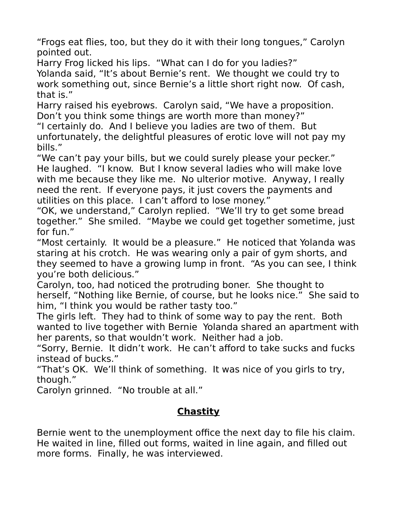"Frogs eat flies, too, but they do it with their long tongues," Carolyn pointed out.

Harry Frog licked his lips. "What can I do for you ladies?"

Yolanda said, "It's about Bernie's rent. We thought we could try to work something out, since Bernie's a little short right now. Of cash, that is."

Harry raised his eyebrows. Carolyn said, "We have a proposition. Don't you think some things are worth more than money?"

"I certainly do. And I believe you ladies are two of them. But unfortunately, the delightful pleasures of erotic love will not pay my bills."

"We can't pay your bills, but we could surely please your pecker." He laughed. "I know. But I know several ladies who will make love with me because they like me. No ulterior motive. Anyway, I really need the rent. If everyone pays, it just covers the payments and utilities on this place. I can't afford to lose money."

"OK, we understand," Carolyn replied. "We'll try to get some bread together." She smiled. "Maybe we could get together sometime, just for fun."

"Most certainly. It would be a pleasure." He noticed that Yolanda was staring at his crotch. He was wearing only a pair of gym shorts, and they seemed to have a growing lump in front. "As you can see, I think you're both delicious."

Carolyn, too, had noticed the protruding boner. She thought to herself, "Nothing like Bernie, of course, but he looks nice." She said to him, "I think you would be rather tasty too."

The girls left. They had to think of some way to pay the rent. Both wanted to live together with Bernie Yolanda shared an apartment with her parents, so that wouldn't work. Neither had a job.

"Sorry, Bernie. It didn't work. He can't afford to take sucks and fucks instead of bucks."

"That's OK. We'll think of something. It was nice of you girls to try, though."

Carolyn grinned. "No trouble at all."

# **Chastity**

Bernie went to the unemployment office the next day to file his claim. He waited in line, filled out forms, waited in line again, and filled out more forms. Finally, he was interviewed.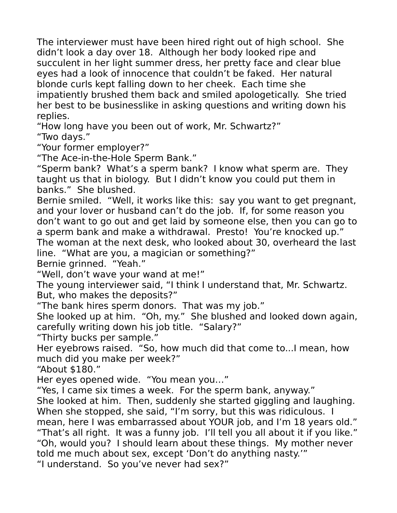The interviewer must have been hired right out of high school. She didn't look a day over 18. Although her body looked ripe and succulent in her light summer dress, her pretty face and clear blue eyes had a look of innocence that couldn't be faked. Her natural blonde curls kept falling down to her cheek. Each time she impatiently brushed them back and smiled apologetically. She tried her best to be businesslike in asking questions and writing down his replies.

"How long have you been out of work, Mr. Schwartz?"

"Two days."

"Your former employer?"

"The Ace-in-the-Hole Sperm Bank."

"Sperm bank? What's a sperm bank? I know what sperm are. They taught us that in biology. But I didn't know you could put them in banks." She blushed.

Bernie smiled. "Well, it works like this: say you want to get pregnant, and your lover or husband can't do the job. If, for some reason you don't want to go out and get laid by someone else, then you can go to a sperm bank and make a withdrawal. Presto! You're knocked up." The woman at the next desk, who looked about 30, overheard the last line. "What are you, a magician or something?"

Bernie grinned. "Yeah."

"Well, don't wave your wand at me!"

The young interviewer said, "I think I understand that, Mr. Schwartz. But, who makes the deposits?"

"The bank hires sperm donors. That was my job."

She looked up at him. "Oh, my." She blushed and looked down again, carefully writing down his job title. "Salary?"

"Thirty bucks per sample."

Her eyebrows raised. "So, how much did that come to...I mean, how much did you make per week?"

"About \$180."

Her eyes opened wide. "You mean you…"

"Yes, I came six times a week. For the sperm bank, anyway."

She looked at him. Then, suddenly she started giggling and laughing. When she stopped, she said, "I'm sorry, but this was ridiculous. I mean, here I was embarrassed about YOUR job, and I'm 18 years old."

"That's all right. It was a funny job. I'll tell you all about it if you like." "Oh, would you? I should learn about these things. My mother never told me much about sex, except 'Don't do anything nasty.'"

"I understand. So you've never had sex?"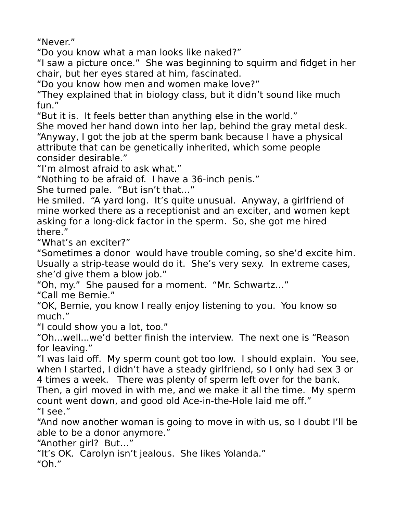"Never."

"Do you know what a man looks like naked?"

"I saw a picture once." She was beginning to squirm and fidget in her chair, but her eyes stared at him, fascinated.

"Do you know how men and women make love?"

"They explained that in biology class, but it didn't sound like much fun."

"But it is. It feels better than anything else in the world."

She moved her hand down into her lap, behind the gray metal desk. "Anyway, I got the job at the sperm bank because I have a physical attribute that can be genetically inherited, which some people consider desirable."

"I'm almost afraid to ask what."

"Nothing to be afraid of. I have a 36-inch penis."

She turned pale. "But isn't that…"

He smiled. "A yard long. It's quite unusual. Anyway, a girlfriend of mine worked there as a receptionist and an exciter, and women kept asking for a long-dick factor in the sperm. So, she got me hired there."

"What's an exciter?"

"Sometimes a donor would have trouble coming, so she'd excite him. Usually a strip-tease would do it. She's very sexy. In extreme cases, she'd give them a blow job."

"Oh, my." She paused for a moment. "Mr. Schwartz…"

"Call me Bernie."

"OK, Bernie, you know I really enjoy listening to you. You know so much."

"I could show you a lot, too."

"Oh...well...we'd better finish the interview. The next one is "Reason for leaving."

"I was laid off. My sperm count got too low. I should explain. You see, when I started, I didn't have a steady girlfriend, so I only had sex 3 or 4 times a week. There was plenty of sperm left over for the bank.

Then, a girl moved in with me, and we make it all the time. My sperm count went down, and good old Ace-in-the-Hole laid me off."

"I see."

"And now another woman is going to move in with us, so I doubt I'll be able to be a donor anymore."

"Another girl? But…"

"It's OK. Carolyn isn't jealous. She likes Yolanda."

"Oh."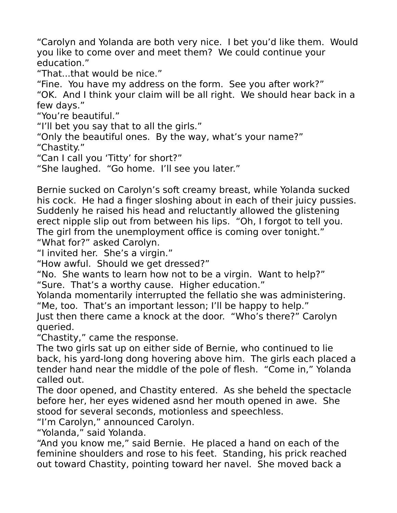"Carolyn and Yolanda are both very nice. I bet you'd like them. Would you like to come over and meet them? We could continue your education."

"That...that would be nice."

"Fine. You have my address on the form. See you after work?"

"OK. And I think your claim will be all right. We should hear back in a few days."

"You're beautiful."

"I'll bet you say that to all the girls."

"Only the beautiful ones. By the way, what's your name?" "Chastity."

"Can I call you 'Titty' for short?"

"She laughed. "Go home. I'll see you later."

Bernie sucked on Carolyn's soft creamy breast, while Yolanda sucked his cock. He had a finger sloshing about in each of their juicy pussies. Suddenly he raised his head and reluctantly allowed the glistening erect nipple slip out from between his lips. "Oh, I forgot to tell you. The girl from the unemployment office is coming over tonight." "What for?" asked Carolyn.

"I invited her. She's a virgin."

"How awful. Should we get dressed?"

"No. She wants to learn how not to be a virgin. Want to help?" "Sure. That's a worthy cause. Higher education."

Yolanda momentarily interrupted the fellatio she was administering. "Me, too. That's an important lesson; I'll be happy to help."

Just then there came a knock at the door. "Who's there?" Carolyn queried.

"Chastity," came the response.

The two girls sat up on either side of Bernie, who continued to lie back, his yard-long dong hovering above him. The girls each placed a tender hand near the middle of the pole of flesh. "Come in," Yolanda called out.

The door opened, and Chastity entered. As she beheld the spectacle before her, her eyes widened asnd her mouth opened in awe. She stood for several seconds, motionless and speechless.

"I'm Carolyn," announced Carolyn.

"Yolanda," said Yolanda.

"And you know me," said Bernie. He placed a hand on each of the feminine shoulders and rose to his feet. Standing, his prick reached out toward Chastity, pointing toward her navel. She moved back a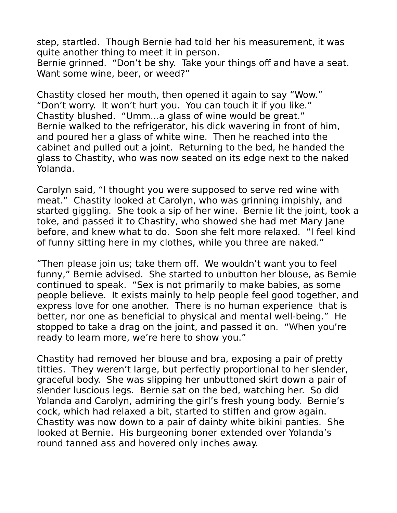step, startled. Though Bernie had told her his measurement, it was quite another thing to meet it in person.

Bernie grinned. "Don't be shy. Take your things off and have a seat. Want some wine, beer, or weed?"

Chastity closed her mouth, then opened it again to say "Wow." "Don't worry. It won't hurt you. You can touch it if you like." Chastity blushed. "Umm...a glass of wine would be great." Bernie walked to the refrigerator, his dick wavering in front of him, and poured her a glass of white wine. Then he reached into the cabinet and pulled out a joint. Returning to the bed, he handed the glass to Chastity, who was now seated on its edge next to the naked Yolanda.

Carolyn said, "I thought you were supposed to serve red wine with meat." Chastity looked at Carolyn, who was grinning impishly, and started giggling. She took a sip of her wine. Bernie lit the joint, took a toke, and passed it to Chastity, who showed she had met Mary Jane before, and knew what to do. Soon she felt more relaxed. "I feel kind of funny sitting here in my clothes, while you three are naked."

"Then please join us; take them off. We wouldn't want you to feel funny," Bernie advised. She started to unbutton her blouse, as Bernie continued to speak. "Sex is not primarily to make babies, as some people believe. It exists mainly to help people feel good together, and express love for one another. There is no human experience that is better, nor one as beneficial to physical and mental well-being." He stopped to take a drag on the joint, and passed it on. "When you're ready to learn more, we're here to show you."

Chastity had removed her blouse and bra, exposing a pair of pretty titties. They weren't large, but perfectly proportional to her slender, graceful body. She was slipping her unbuttoned skirt down a pair of slender luscious legs. Bernie sat on the bed, watching her. So did Yolanda and Carolyn, admiring the girl's fresh young body. Bernie's cock, which had relaxed a bit, started to stiffen and grow again. Chastity was now down to a pair of dainty white bikini panties. She looked at Bernie. His burgeoning boner extended over Yolanda's round tanned ass and hovered only inches away.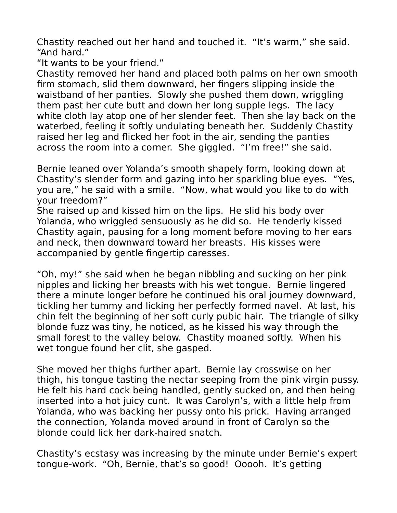Chastity reached out her hand and touched it. "It's warm," she said. "And hard."

"It wants to be your friend."

Chastity removed her hand and placed both palms on her own smooth firm stomach, slid them downward, her fingers slipping inside the waistband of her panties. Slowly she pushed them down, wriggling them past her cute butt and down her long supple legs. The lacy white cloth lay atop one of her slender feet. Then she lay back on the waterbed, feeling it softly undulating beneath her. Suddenly Chastity raised her leg and flicked her foot in the air, sending the panties across the room into a corner. She giggled. "I'm free!" she said.

Bernie leaned over Yolanda's smooth shapely form, looking down at Chastity's slender form and gazing into her sparkling blue eyes. "Yes, you are," he said with a smile. "Now, what would you like to do with your freedom?"

She raised up and kissed him on the lips. He slid his body over Yolanda, who wriggled sensuously as he did so. He tenderly kissed Chastity again, pausing for a long moment before moving to her ears and neck, then downward toward her breasts. His kisses were accompanied by gentle fingertip caresses.

"Oh, my!" she said when he began nibbling and sucking on her pink nipples and licking her breasts with his wet tongue. Bernie lingered there a minute longer before he continued his oral journey downward, tickling her tummy and licking her perfectly formed navel. At last, his chin felt the beginning of her soft curly pubic hair. The triangle of silky blonde fuzz was tiny, he noticed, as he kissed his way through the small forest to the valley below. Chastity moaned softly. When his wet tongue found her clit, she gasped.

She moved her thighs further apart. Bernie lay crosswise on her thigh, his tongue tasting the nectar seeping from the pink virgin pussy. He felt his hard cock being handled, gently sucked on, and then being inserted into a hot juicy cunt. It was Carolyn's, with a little help from Yolanda, who was backing her pussy onto his prick. Having arranged the connection, Yolanda moved around in front of Carolyn so the blonde could lick her dark-haired snatch.

Chastity's ecstasy was increasing by the minute under Bernie's expert tongue-work. "Oh, Bernie, that's so good! Ooooh. It's getting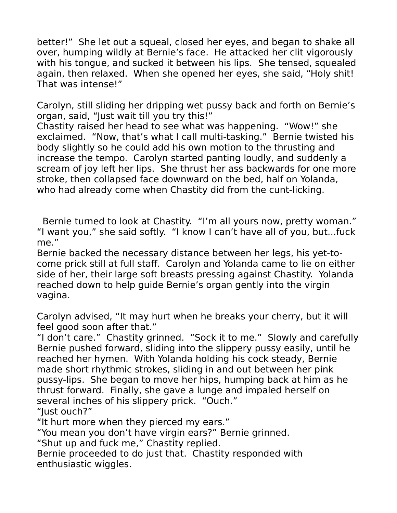better!" She let out a squeal, closed her eyes, and began to shake all over, humping wildly at Bernie's face. He attacked her clit vigorously with his tongue, and sucked it between his lips. She tensed, squealed again, then relaxed. When she opened her eyes, she said, "Holy shit! That was intense!"

Carolyn, still sliding her dripping wet pussy back and forth on Bernie's organ, said, "Just wait till you try this!"

Chastity raised her head to see what was happening. "Wow!" she exclaimed. "Now, that's what I call multi-tasking." Bernie twisted his body slightly so he could add his own motion to the thrusting and increase the tempo. Carolyn started panting loudly, and suddenly a scream of joy left her lips. She thrust her ass backwards for one more stroke, then collapsed face downward on the bed, half on Yolanda, who had already come when Chastity did from the cunt-licking.

 Bernie turned to look at Chastity. "I'm all yours now, pretty woman." "I want you," she said softly. "I know I can't have all of you, but...fuck me."

Bernie backed the necessary distance between her legs, his yet-tocome prick still at full staff. Carolyn and Yolanda came to lie on either side of her, their large soft breasts pressing against Chastity. Yolanda reached down to help guide Bernie's organ gently into the virgin vagina.

Carolyn advised, "It may hurt when he breaks your cherry, but it will feel good soon after that."

"I don't care." Chastity grinned. "Sock it to me." Slowly and carefully Bernie pushed forward, sliding into the slippery pussy easily, until he reached her hymen. With Yolanda holding his cock steady, Bernie made short rhythmic strokes, sliding in and out between her pink pussy-lips. She began to move her hips, humping back at him as he thrust forward. Finally, she gave a lunge and impaled herself on several inches of his slippery prick. "Ouch." "Just ouch?"

"It hurt more when they pierced my ears."

"You mean you don't have virgin ears?" Bernie grinned.

"Shut up and fuck me," Chastity replied.

Bernie proceeded to do just that. Chastity responded with enthusiastic wiggles.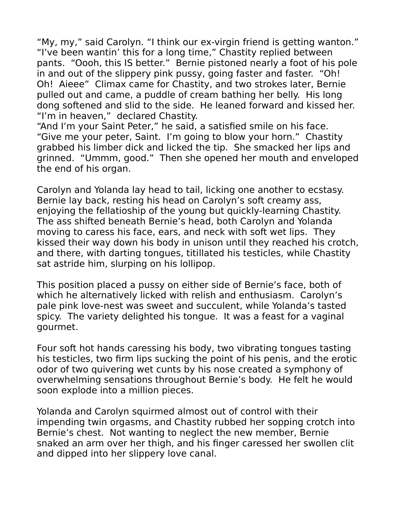"My, my," said Carolyn. "I think our ex-virgin friend is getting wanton." "I've been wantin' this for a long time," Chastity replied between pants. "Oooh, this IS better." Bernie pistoned nearly a foot of his pole in and out of the slippery pink pussy, going faster and faster. "Oh! Oh! Aieee" Climax came for Chastity, and two strokes later, Bernie pulled out and came, a puddle of cream bathing her belly. His long dong softened and slid to the side. He leaned forward and kissed her. "I'm in heaven," declared Chastity.

"And I'm your Saint Peter," he said, a satisfied smile on his face. "Give me your peter, Saint. I'm going to blow your horn." Chastity grabbed his limber dick and licked the tip. She smacked her lips and grinned. "Ummm, good." Then she opened her mouth and enveloped the end of his organ.

Carolyn and Yolanda lay head to tail, licking one another to ecstasy. Bernie lay back, resting his head on Carolyn's soft creamy ass, enjoying the fellatioship of the young but quickly-learning Chastity. The ass shifted beneath Bernie's head, both Carolyn and Yolanda moving to caress his face, ears, and neck with soft wet lips. They kissed their way down his body in unison until they reached his crotch, and there, with darting tongues, titillated his testicles, while Chastity sat astride him, slurping on his lollipop.

This position placed a pussy on either side of Bernie's face, both of which he alternatively licked with relish and enthusiasm. Carolyn's pale pink love-nest was sweet and succulent, while Yolanda's tasted spicy. The variety delighted his tongue. It was a feast for a vaginal gourmet.

Four soft hot hands caressing his body, two vibrating tongues tasting his testicles, two firm lips sucking the point of his penis, and the erotic odor of two quivering wet cunts by his nose created a symphony of overwhelming sensations throughout Bernie's body. He felt he would soon explode into a million pieces.

Yolanda and Carolyn squirmed almost out of control with their impending twin orgasms, and Chastity rubbed her sopping crotch into Bernie's chest. Not wanting to neglect the new member, Bernie snaked an arm over her thigh, and his finger caressed her swollen clit and dipped into her slippery love canal.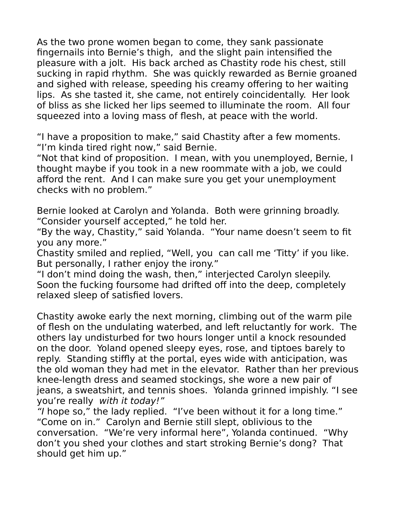As the two prone women began to come, they sank passionate fingernails into Bernie's thigh, and the slight pain intensified the pleasure with a jolt. His back arched as Chastity rode his chest, still sucking in rapid rhythm. She was quickly rewarded as Bernie groaned and sighed with release, speeding his creamy offering to her waiting lips. As she tasted it, she came, not entirely coincidentally. Her look of bliss as she licked her lips seemed to illuminate the room. All four squeezed into a loving mass of flesh, at peace with the world.

"I have a proposition to make," said Chastity after a few moments. "I'm kinda tired right now," said Bernie.

"Not that kind of proposition. I mean, with you unemployed, Bernie, I thought maybe if you took in a new roommate with a job, we could afford the rent. And I can make sure you get your unemployment checks with no problem."

Bernie looked at Carolyn and Yolanda. Both were grinning broadly. "Consider yourself accepted," he told her.

"By the way, Chastity," said Yolanda. "Your name doesn't seem to fit you any more."

Chastity smiled and replied, "Well, you can call me 'Titty' if you like. But personally, I rather enjoy the irony."

"I don't mind doing the wash, then," interjected Carolyn sleepily. Soon the fucking foursome had drifted off into the deep, completely relaxed sleep of satisfied lovers.

Chastity awoke early the next morning, climbing out of the warm pile of flesh on the undulating waterbed, and left reluctantly for work. The others lay undisturbed for two hours longer until a knock resounded on the door. Yoland opened sleepy eyes, rose, and tiptoes barely to reply. Standing stiffly at the portal, eyes wide with anticipation, was the old woman they had met in the elevator. Rather than her previous knee-length dress and seamed stockings, she wore a new pair of jeans, a sweatshirt, and tennis shoes. Yolanda grinned impishly. "I see you're really with it today!"

"I hope so," the lady replied. "I've been without it for a long time." "Come on in." Carolyn and Bernie still slept, oblivious to the conversation. "We're very informal here", Yolanda continued. "Why don't you shed your clothes and start stroking Bernie's dong? That should get him up."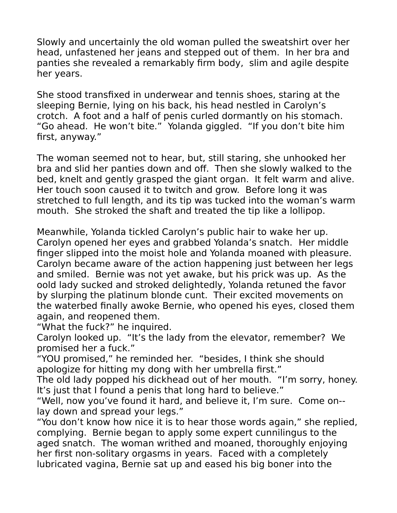Slowly and uncertainly the old woman pulled the sweatshirt over her head, unfastened her jeans and stepped out of them. In her bra and panties she revealed a remarkably firm body, slim and agile despite her years.

She stood transfixed in underwear and tennis shoes, staring at the sleeping Bernie, lying on his back, his head nestled in Carolyn's crotch. A foot and a half of penis curled dormantly on his stomach. "Go ahead. He won't bite." Yolanda giggled. "If you don't bite him first, anyway."

The woman seemed not to hear, but, still staring, she unhooked her bra and slid her panties down and off. Then she slowly walked to the bed, knelt and gently grasped the giant organ. It felt warm and alive. Her touch soon caused it to twitch and grow. Before long it was stretched to full length, and its tip was tucked into the woman's warm mouth. She stroked the shaft and treated the tip like a lollipop.

Meanwhile, Yolanda tickled Carolyn's public hair to wake her up. Carolyn opened her eyes and grabbed Yolanda's snatch. Her middle finger slipped into the moist hole and Yolanda moaned with pleasure. Carolyn became aware of the action happening just between her legs and smiled. Bernie was not yet awake, but his prick was up. As the oold lady sucked and stroked delightedly, Yolanda retuned the favor by slurping the platinum blonde cunt. Their excited movements on the waterbed finally awoke Bernie, who opened his eyes, closed them again, and reopened them.

"What the fuck?" he inquired.

Carolyn looked up. "It's the lady from the elevator, remember? We promised her a fuck."

"YOU promised," he reminded her. "besides, I think she should apologize for hitting my dong with her umbrella first."

The old lady popped his dickhead out of her mouth. "I'm sorry, honey. It's just that I found a penis that long hard to believe."

"Well, now you've found it hard, and believe it, I'm sure. Come on- lay down and spread your legs."

"You don't know how nice it is to hear those words again," she replied, complying. Bernie began to apply some expert cunnilingus to the aged snatch. The woman writhed and moaned, thoroughly enjoying her first non-solitary orgasms in years. Faced with a completely lubricated vagina, Bernie sat up and eased his big boner into the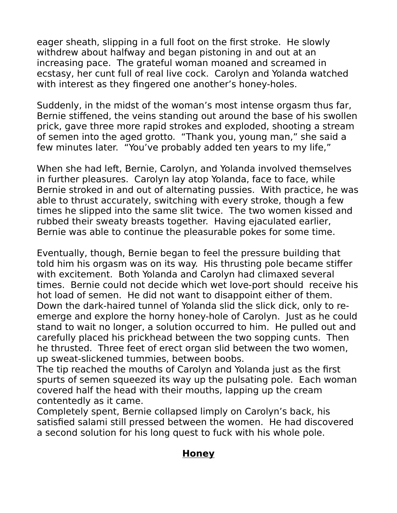eager sheath, slipping in a full foot on the first stroke. He slowly withdrew about halfway and began pistoning in and out at an increasing pace. The grateful woman moaned and screamed in ecstasy, her cunt full of real live cock. Carolyn and Yolanda watched with interest as they fingered one another's honey-holes.

Suddenly, in the midst of the woman's most intense orgasm thus far, Bernie stiffened, the veins standing out around the base of his swollen prick, gave three more rapid strokes and exploded, shooting a stream of semen into the aged grotto. "Thank you, young man," she said a few minutes later. "You've probably added ten years to my life,"

When she had left, Bernie, Carolyn, and Yolanda involved themselves in further pleasures. Carolyn lay atop Yolanda, face to face, while Bernie stroked in and out of alternating pussies. With practice, he was able to thrust accurately, switching with every stroke, though a few times he slipped into the same slit twice. The two women kissed and rubbed their sweaty breasts together. Having ejaculated earlier, Bernie was able to continue the pleasurable pokes for some time.

Eventually, though, Bernie began to feel the pressure building that told him his orgasm was on its way. His thrusting pole became stiffer with excitement. Both Yolanda and Carolyn had climaxed several times. Bernie could not decide which wet love-port should receive his hot load of semen. He did not want to disappoint either of them. Down the dark-haired tunnel of Yolanda slid the slick dick, only to reemerge and explore the horny honey-hole of Carolyn. Just as he could stand to wait no longer, a solution occurred to him. He pulled out and carefully placed his prickhead between the two sopping cunts. Then he thrusted. Three feet of erect organ slid between the two women, up sweat-slickened tummies, between boobs.

The tip reached the mouths of Carolyn and Yolanda just as the first spurts of semen squeezed its way up the pulsating pole. Each woman covered half the head with their mouths, lapping up the cream contentedly as it came.

Completely spent, Bernie collapsed limply on Carolyn's back, his satisfied salami still pressed between the women. He had discovered a second solution for his long quest to fuck with his whole pole.

#### **Honey**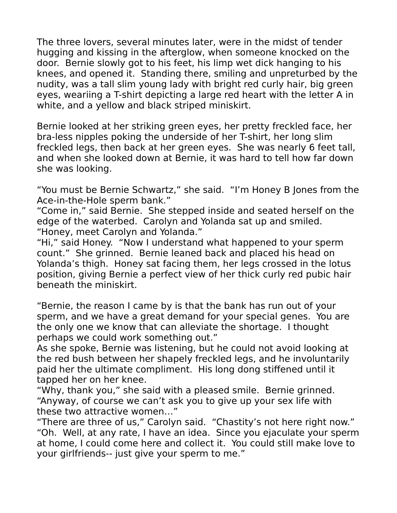The three lovers, several minutes later, were in the midst of tender hugging and kissing in the afterglow, when someone knocked on the door. Bernie slowly got to his feet, his limp wet dick hanging to his knees, and opened it. Standing there, smiling and unpreturbed by the nudity, was a tall slim young lady with bright red curly hair, big green eyes, weariing a T-shirt depicting a large red heart with the letter A in white, and a yellow and black striped miniskirt.

Bernie looked at her striking green eyes, her pretty freckled face, her bra-less nipples poking the underside of her T-shirt, her long slim freckled legs, then back at her green eyes. She was nearly 6 feet tall, and when she looked down at Bernie, it was hard to tell how far down she was looking.

"You must be Bernie Schwartz," she said. "I'm Honey B Jones from the Ace-in-the-Hole sperm bank."

"Come in," said Bernie. She stepped inside and seated herself on the edge of the waterbed. Carolyn and Yolanda sat up and smiled. "Honey, meet Carolyn and Yolanda."

"Hi," said Honey. "Now I understand what happened to your sperm count." She grinned. Bernie leaned back and placed his head on Yolanda's thigh. Honey sat facing them, her legs crossed in the lotus position, giving Bernie a perfect view of her thick curly red pubic hair beneath the miniskirt.

"Bernie, the reason I came by is that the bank has run out of your sperm, and we have a great demand for your special genes. You are the only one we know that can alleviate the shortage. I thought perhaps we could work something out."

As she spoke, Bernie was listening, but he could not avoid looking at the red bush between her shapely freckled legs, and he involuntarily paid her the ultimate compliment. His long dong stiffened until it tapped her on her knee.

"Why, thank you," she said with a pleased smile. Bernie grinned. "Anyway, of course we can't ask you to give up your sex life with these two attractive women…"

"There are three of us," Carolyn said. "Chastity's not here right now." "Oh. Well, at any rate, I have an idea. Since you ejaculate your sperm at home, I could come here and collect it. You could still make love to your girlfriends-- just give your sperm to me."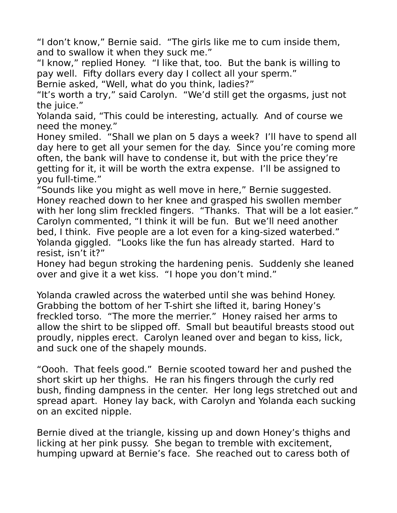"I don't know," Bernie said. "The girls like me to cum inside them, and to swallow it when they suck me."

"I know," replied Honey. "I like that, too. But the bank is willing to pay well. Fifty dollars every day I collect all your sperm."

Bernie asked, "Well, what do you think, ladies?"

"It's worth a try," said Carolyn. "We'd still get the orgasms, just not the juice."

Yolanda said, "This could be interesting, actually. And of course we need the money."

Honey smiled. "Shall we plan on 5 days a week? I'll have to spend all day here to get all your semen for the day. Since you're coming more often, the bank will have to condense it, but with the price they're getting for it, it will be worth the extra expense. I'll be assigned to you full-time."

"Sounds like you might as well move in here," Bernie suggested. Honey reached down to her knee and grasped his swollen member with her long slim freckled fingers. "Thanks. That will be a lot easier." Carolyn commented, "I think it will be fun. But we'll need another bed, I think. Five people are a lot even for a king-sized waterbed." Yolanda giggled. "Looks like the fun has already started. Hard to resist, isn't it?"

Honey had begun stroking the hardening penis. Suddenly she leaned over and give it a wet kiss. "I hope you don't mind."

Yolanda crawled across the waterbed until she was behind Honey. Grabbing the bottom of her T-shirt she lifted it, baring Honey's freckled torso. "The more the merrier." Honey raised her arms to allow the shirt to be slipped off. Small but beautiful breasts stood out proudly, nipples erect. Carolyn leaned over and began to kiss, lick, and suck one of the shapely mounds.

"Oooh. That feels good." Bernie scooted toward her and pushed the short skirt up her thighs. He ran his fingers through the curly red bush, finding dampness in the center. Her long legs stretched out and spread apart. Honey lay back, with Carolyn and Yolanda each sucking on an excited nipple.

Bernie dived at the triangle, kissing up and down Honey's thighs and licking at her pink pussy. She began to tremble with excitement, humping upward at Bernie's face. She reached out to caress both of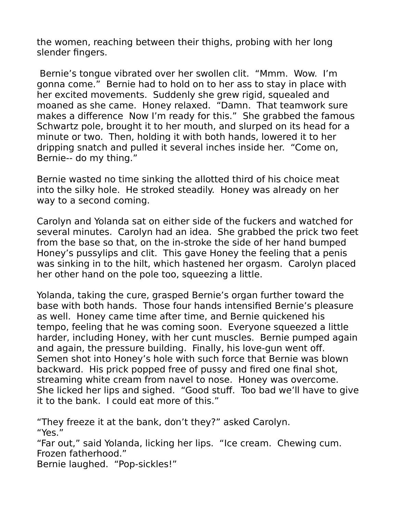the women, reaching between their thighs, probing with her long slender fingers.

Bernie's tongue vibrated over her swollen clit. "Mmm. Wow. I'm gonna come." Bernie had to hold on to her ass to stay in place with her excited movements. Suddenly she grew rigid, squealed and moaned as she came. Honey relaxed. "Damn. That teamwork sure makes a difference Now I'm ready for this." She grabbed the famous Schwartz pole, brought it to her mouth, and slurped on its head for a minute or two. Then, holding it with both hands, lowered it to her dripping snatch and pulled it several inches inside her. "Come on, Bernie-- do my thing."

Bernie wasted no time sinking the allotted third of his choice meat into the silky hole. He stroked steadily. Honey was already on her way to a second coming.

Carolyn and Yolanda sat on either side of the fuckers and watched for several minutes. Carolyn had an idea. She grabbed the prick two feet from the base so that, on the in-stroke the side of her hand bumped Honey's pussylips and clit. This gave Honey the feeling that a penis was sinking in to the hilt, which hastened her orgasm. Carolyn placed her other hand on the pole too, squeezing a little.

Yolanda, taking the cure, grasped Bernie's organ further toward the base with both hands. Those four hands intensified Bernie's pleasure as well. Honey came time after time, and Bernie quickened his tempo, feeling that he was coming soon. Everyone squeezed a little harder, including Honey, with her cunt muscles. Bernie pumped again and again, the pressure building. Finally, his love-gun went off. Semen shot into Honey's hole with such force that Bernie was blown backward. His prick popped free of pussy and fired one final shot, streaming white cream from navel to nose. Honey was overcome. She licked her lips and sighed. "Good stuff. Too bad we'll have to give it to the bank. I could eat more of this."

"They freeze it at the bank, don't they?" asked Carolyn. "Yes." "Far out," said Yolanda, licking her lips. "Ice cream. Chewing cum. Frozen fatherhood." Bernie laughed. "Pop-sickles!"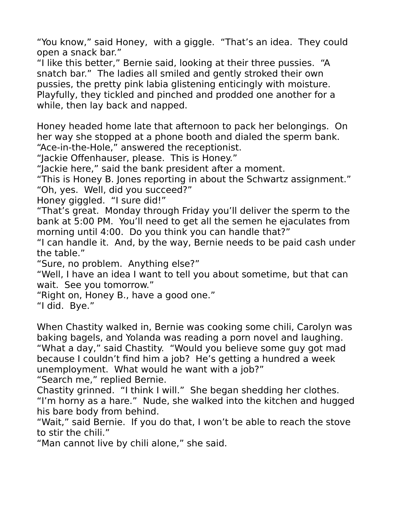"You know," said Honey, with a giggle. "That's an idea. They could open a snack bar."

"I like this better," Bernie said, looking at their three pussies. "A snatch bar." The ladies all smiled and gently stroked their own pussies, the pretty pink labia glistening enticingly with moisture. Playfully, they tickled and pinched and prodded one another for a while, then lay back and napped.

Honey headed home late that afternoon to pack her belongings. On her way she stopped at a phone booth and dialed the sperm bank. "Ace-in-the-Hole," answered the receptionist.

"Jackie Offenhauser, please. This is Honey."

"Jackie here," said the bank president after a moment.

"This is Honey B. Jones reporting in about the Schwartz assignment." "Oh, yes. Well, did you succeed?"

Honey giggled. "I sure did!"

"That's great. Monday through Friday you'll deliver the sperm to the bank at 5:00 PM. You'll need to get all the semen he ejaculates from morning until 4:00. Do you think you can handle that?"

"I can handle it. And, by the way, Bernie needs to be paid cash under the table."

"Sure, no problem. Anything else?"

"Well, I have an idea I want to tell you about sometime, but that can wait. See you tomorrow."

"Right on, Honey B., have a good one."

"I did. Bye."

When Chastity walked in, Bernie was cooking some chili, Carolyn was baking bagels, and Yolanda was reading a porn novel and laughing. "What a day," said Chastity. "Would you believe some guy got mad because I couldn't find him a job? He's getting a hundred a week unemployment. What would he want with a job?"

"Search me," replied Bernie.

Chastity grinned. "I think I will." She began shedding her clothes. "I'm horny as a hare." Nude, she walked into the kitchen and hugged his bare body from behind.

"Wait," said Bernie. If you do that, I won't be able to reach the stove to stir the chili."

"Man cannot live by chili alone," she said.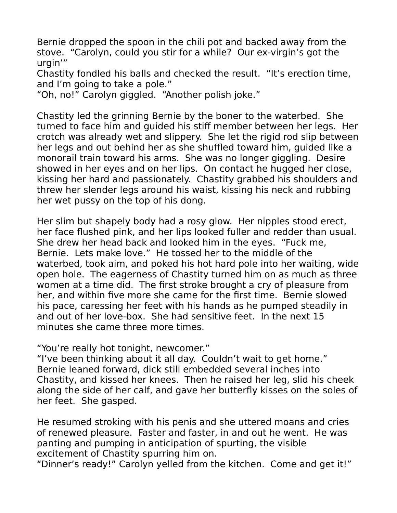Bernie dropped the spoon in the chili pot and backed away from the stove. "Carolyn, could you stir for a while? Our ex-virgin's got the urgin'"

Chastity fondled his balls and checked the result. "It's erection time, and I'm going to take a pole."

"Oh, no!" Carolyn giggled. "Another polish joke."

Chastity led the grinning Bernie by the boner to the waterbed. She turned to face him and guided his stiff member between her legs. Her crotch was already wet and slippery. She let the rigid rod slip between her legs and out behind her as she shuffled toward him, guided like a monorail train toward his arms. She was no longer giggling. Desire showed in her eyes and on her lips. On contact he hugged her close, kissing her hard and passionately. Chastity grabbed his shoulders and threw her slender legs around his waist, kissing his neck and rubbing her wet pussy on the top of his dong.

Her slim but shapely body had a rosy glow. Her nipples stood erect, her face flushed pink, and her lips looked fuller and redder than usual. She drew her head back and looked him in the eyes. "Fuck me, Bernie. Lets make love." He tossed her to the middle of the waterbed, took aim, and poked his hot hard pole into her waiting, wide open hole. The eagerness of Chastity turned him on as much as three women at a time did. The first stroke brought a cry of pleasure from her, and within five more she came for the first time. Bernie slowed his pace, caressing her feet with his hands as he pumped steadily in and out of her love-box. She had sensitive feet. In the next 15 minutes she came three more times.

"You're really hot tonight, newcomer."

"I've been thinking about it all day. Couldn't wait to get home." Bernie leaned forward, dick still embedded several inches into Chastity, and kissed her knees. Then he raised her leg, slid his cheek along the side of her calf, and gave her butterfly kisses on the soles of her feet. She gasped.

He resumed stroking with his penis and she uttered moans and cries of renewed pleasure. Faster and faster, in and out he went. He was panting and pumping in anticipation of spurting, the visible excitement of Chastity spurring him on.

"Dinner's ready!" Carolyn yelled from the kitchen. Come and get it!"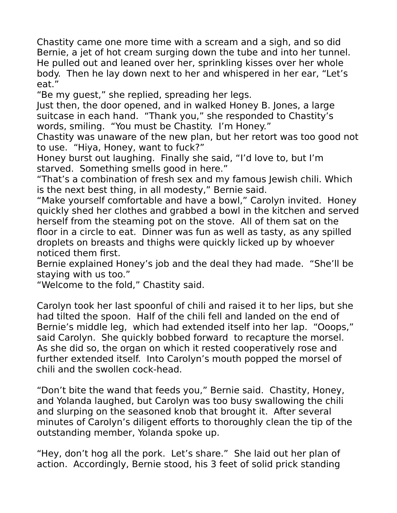Chastity came one more time with a scream and a sigh, and so did Bernie, a jet of hot cream surging down the tube and into her tunnel. He pulled out and leaned over her, sprinkling kisses over her whole body. Then he lay down next to her and whispered in her ear, "Let's eat."

"Be my guest," she replied, spreading her legs.

Just then, the door opened, and in walked Honey B. Jones, a large suitcase in each hand. "Thank you," she responded to Chastity's words, smiling. "You must be Chastity. I'm Honey."

Chastity was unaware of the new plan, but her retort was too good not to use. "Hiya, Honey, want to fuck?"

Honey burst out laughing. Finally she said, "I'd love to, but I'm starved. Something smells good in here."

"That's a combination of fresh sex and my famous Jewish chili. Which is the next best thing, in all modesty," Bernie said.

"Make yourself comfortable and have a bowl," Carolyn invited. Honey quickly shed her clothes and grabbed a bowl in the kitchen and served herself from the steaming pot on the stove. All of them sat on the floor in a circle to eat. Dinner was fun as well as tasty, as any spilled droplets on breasts and thighs were quickly licked up by whoever noticed them first.

Bernie explained Honey's job and the deal they had made. "She'll be staying with us too."

"Welcome to the fold," Chastity said.

Carolyn took her last spoonful of chili and raised it to her lips, but she had tilted the spoon. Half of the chili fell and landed on the end of Bernie's middle leg, which had extended itself into her lap. "Ooops," said Carolyn. She quickly bobbed forward to recapture the morsel. As she did so, the organ on which it rested cooperatively rose and further extended itself. Into Carolyn's mouth popped the morsel of chili and the swollen cock-head.

"Don't bite the wand that feeds you," Bernie said. Chastity, Honey, and Yolanda laughed, but Carolyn was too busy swallowing the chili and slurping on the seasoned knob that brought it. After several minutes of Carolyn's diligent efforts to thoroughly clean the tip of the outstanding member, Yolanda spoke up.

"Hey, don't hog all the pork. Let's share." She laid out her plan of action. Accordingly, Bernie stood, his 3 feet of solid prick standing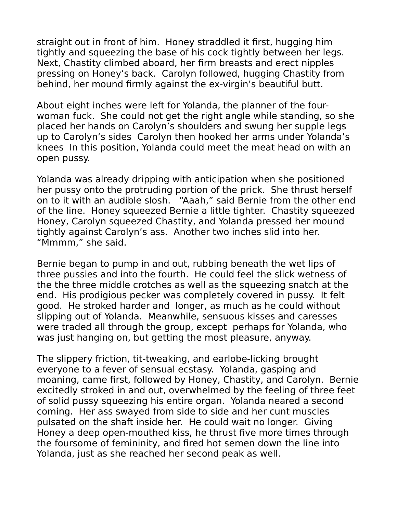straight out in front of him. Honey straddled it first, hugging him tightly and squeezing the base of his cock tightly between her legs. Next, Chastity climbed aboard, her firm breasts and erect nipples pressing on Honey's back. Carolyn followed, hugging Chastity from behind, her mound firmly against the ex-virgin's beautiful butt.

About eight inches were left for Yolanda, the planner of the fourwoman fuck. She could not get the right angle while standing, so she placed her hands on Carolyn's shoulders and swung her supple legs up to Carolyn's sides Carolyn then hooked her arms under Yolanda's knees In this position, Yolanda could meet the meat head on with an open pussy.

Yolanda was already dripping with anticipation when she positioned her pussy onto the protruding portion of the prick. She thrust herself on to it with an audible slosh. "Aaah," said Bernie from the other end of the line. Honey squeezed Bernie a little tighter. Chastity squeezed Honey, Carolyn squeezed Chastity, and Yolanda pressed her mound tightly against Carolyn's ass. Another two inches slid into her. "Mmmm," she said.

Bernie began to pump in and out, rubbing beneath the wet lips of three pussies and into the fourth. He could feel the slick wetness of the the three middle crotches as well as the squeezing snatch at the end. His prodigious pecker was completely covered in pussy. It felt good. He stroked harder and longer, as much as he could without slipping out of Yolanda. Meanwhile, sensuous kisses and caresses were traded all through the group, except perhaps for Yolanda, who was just hanging on, but getting the most pleasure, anyway.

The slippery friction, tit-tweaking, and earlobe-licking brought everyone to a fever of sensual ecstasy. Yolanda, gasping and moaning, came first, followed by Honey, Chastity, and Carolyn. Bernie excitedly stroked in and out, overwhelmed by the feeling of three feet of solid pussy squeezing his entire organ. Yolanda neared a second coming. Her ass swayed from side to side and her cunt muscles pulsated on the shaft inside her. He could wait no longer. Giving Honey a deep open-mouthed kiss, he thrust five more times through the foursome of femininity, and fired hot semen down the line into Yolanda, just as she reached her second peak as well.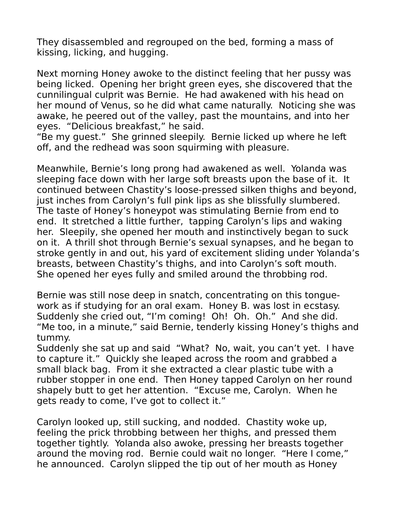They disassembled and regrouped on the bed, forming a mass of kissing, licking, and hugging.

Next morning Honey awoke to the distinct feeling that her pussy was being licked. Opening her bright green eyes, she discovered that the cunnilingual culprit was Bernie. He had awakened with his head on her mound of Venus, so he did what came naturally. Noticing she was awake, he peered out of the valley, past the mountains, and into her eyes. "Delicious breakfast," he said.

"Be my guest." She grinned sleepily. Bernie licked up where he left off, and the redhead was soon squirming with pleasure.

Meanwhile, Bernie's long prong had awakened as well. Yolanda was sleeping face down with her large soft breasts upon the base of it. It continued between Chastity's loose-pressed silken thighs and beyond, just inches from Carolyn's full pink lips as she blissfully slumbered. The taste of Honey's honeypot was stimulating Bernie from end to end. It stretched a little further, tapping Carolyn's lips and waking her. Sleepily, she opened her mouth and instinctively began to suck on it. A thrill shot through Bernie's sexual synapses, and he began to stroke gently in and out, his yard of excitement sliding under Yolanda's breasts, between Chastity's thighs, and into Carolyn's soft mouth. She opened her eyes fully and smiled around the throbbing rod.

Bernie was still nose deep in snatch, concentrating on this tonguework as if studying for an oral exam. Honey B. was lost in ecstasy. Suddenly she cried out, "I'm coming! Oh! Oh. Oh." And she did. "Me too, in a minute," said Bernie, tenderly kissing Honey's thighs and tummy.

Suddenly she sat up and said "What? No, wait, you can't yet. I have to capture it." Quickly she leaped across the room and grabbed a small black bag. From it she extracted a clear plastic tube with a rubber stopper in one end. Then Honey tapped Carolyn on her round shapely butt to get her attention. "Excuse me, Carolyn. When he gets ready to come, I've got to collect it."

Carolyn looked up, still sucking, and nodded. Chastity woke up, feeling the prick throbbing between her thighs, and pressed them together tightly. Yolanda also awoke, pressing her breasts together around the moving rod. Bernie could wait no longer. "Here I come," he announced. Carolyn slipped the tip out of her mouth as Honey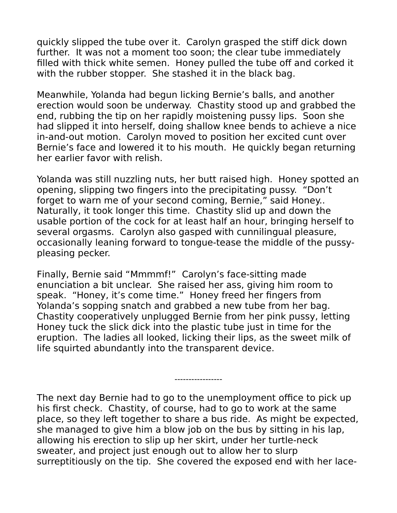quickly slipped the tube over it. Carolyn grasped the stiff dick down further. It was not a moment too soon; the clear tube immediately filled with thick white semen. Honey pulled the tube off and corked it with the rubber stopper. She stashed it in the black bag.

Meanwhile, Yolanda had begun licking Bernie's balls, and another erection would soon be underway. Chastity stood up and grabbed the end, rubbing the tip on her rapidly moistening pussy lips. Soon she had slipped it into herself, doing shallow knee bends to achieve a nice in-and-out motion. Carolyn moved to position her excited cunt over Bernie's face and lowered it to his mouth. He quickly began returning her earlier favor with relish.

Yolanda was still nuzzling nuts, her butt raised high. Honey spotted an opening, slipping two fingers into the precipitating pussy. "Don't forget to warn me of your second coming, Bernie," said Honey.. Naturally, it took longer this time. Chastity slid up and down the usable portion of the cock for at least half an hour, bringing herself to several orgasms. Carolyn also gasped with cunnilingual pleasure, occasionally leaning forward to tongue-tease the middle of the pussypleasing pecker.

Finally, Bernie said "Mmmmf!" Carolyn's face-sitting made enunciation a bit unclear. She raised her ass, giving him room to speak. "Honey, it's come time." Honey freed her fingers from Yolanda's sopping snatch and grabbed a new tube from her bag. Chastity cooperatively unplugged Bernie from her pink pussy, letting Honey tuck the slick dick into the plastic tube just in time for the eruption. The ladies all looked, licking their lips, as the sweet milk of life squirted abundantly into the transparent device.

The next day Bernie had to go to the unemployment office to pick up his first check. Chastity, of course, had to go to work at the same place, so they left together to share a bus ride. As might be expected, she managed to give him a blow job on the bus by sitting in his lap, allowing his erection to slip up her skirt, under her turtle-neck sweater, and project just enough out to allow her to slurp surreptitiously on the tip. She covered the exposed end with her lace-

-----------------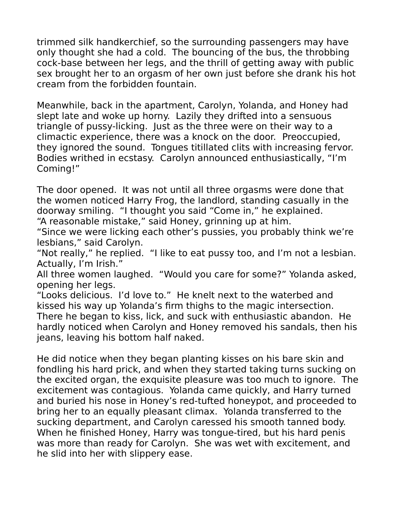trimmed silk handkerchief, so the surrounding passengers may have only thought she had a cold. The bouncing of the bus, the throbbing cock-base between her legs, and the thrill of getting away with public sex brought her to an orgasm of her own just before she drank his hot cream from the forbidden fountain.

Meanwhile, back in the apartment, Carolyn, Yolanda, and Honey had slept late and woke up horny. Lazily they drifted into a sensuous triangle of pussy-licking. Just as the three were on their way to a climactic experience, there was a knock on the door. Preoccupied, they ignored the sound. Tongues titillated clits with increasing fervor. Bodies writhed in ecstasy. Carolyn announced enthusiastically, "I'm Coming!"

The door opened. It was not until all three orgasms were done that the women noticed Harry Frog, the landlord, standing casually in the doorway smiling. "I thought you said "Come in," he explained. "A reasonable mistake," said Honey, grinning up at him.

"Since we were licking each other's pussies, you probably think we're lesbians," said Carolyn.

"Not really," he replied. "I like to eat pussy too, and I'm not a lesbian. Actually, I'm Irish."

All three women laughed. "Would you care for some?" Yolanda asked, opening her legs.

"Looks delicious. I'd love to." He knelt next to the waterbed and kissed his way up Yolanda's firm thighs to the magic intersection. There he began to kiss, lick, and suck with enthusiastic abandon. He hardly noticed when Carolyn and Honey removed his sandals, then his jeans, leaving his bottom half naked.

He did notice when they began planting kisses on his bare skin and fondling his hard prick, and when they started taking turns sucking on the excited organ, the exquisite pleasure was too much to ignore. The excitement was contagious. Yolanda came quickly, and Harry turned and buried his nose in Honey's red-tufted honeypot, and proceeded to bring her to an equally pleasant climax. Yolanda transferred to the sucking department, and Carolyn caressed his smooth tanned body. When he finished Honey, Harry was tongue-tired, but his hard penis was more than ready for Carolyn. She was wet with excitement, and he slid into her with slippery ease.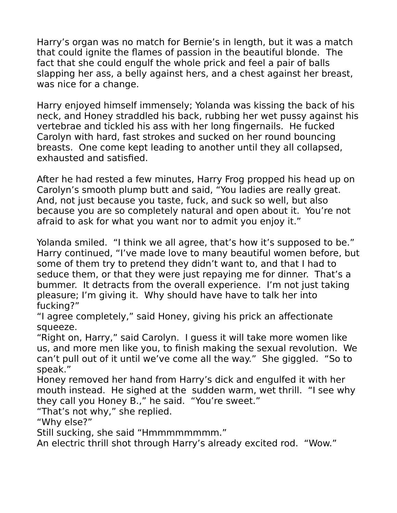Harry's organ was no match for Bernie's in length, but it was a match that could ignite the flames of passion in the beautiful blonde. The fact that she could engulf the whole prick and feel a pair of balls slapping her ass, a belly against hers, and a chest against her breast, was nice for a change.

Harry enjoyed himself immensely; Yolanda was kissing the back of his neck, and Honey straddled his back, rubbing her wet pussy against his vertebrae and tickled his ass with her long fingernails. He fucked Carolyn with hard, fast strokes and sucked on her round bouncing breasts. One come kept leading to another until they all collapsed, exhausted and satisfied.

After he had rested a few minutes, Harry Frog propped his head up on Carolyn's smooth plump butt and said, "You ladies are really great. And, not just because you taste, fuck, and suck so well, but also because you are so completely natural and open about it. You're not afraid to ask for what you want nor to admit you enjoy it."

Yolanda smiled. "I think we all agree, that's how it's supposed to be." Harry continued, "I've made love to many beautiful women before, but some of them try to pretend they didn't want to, and that I had to seduce them, or that they were just repaying me for dinner. That's a bummer. It detracts from the overall experience. I'm not just taking pleasure; I'm giving it. Why should have have to talk her into fucking?"

"I agree completely," said Honey, giving his prick an affectionate squeeze.

"Right on, Harry," said Carolyn. I guess it will take more women like us, and more men like you, to finish making the sexual revolution. We can't pull out of it until we've come all the way." She giggled. "So to speak."

Honey removed her hand from Harry's dick and engulfed it with her mouth instead. He sighed at the sudden warm, wet thrill. "I see why they call you Honey B.," he said. "You're sweet."

"That's not why," she replied.

"Why else?"

Still sucking, she said "Hmmmmmmmm."

An electric thrill shot through Harry's already excited rod. "Wow."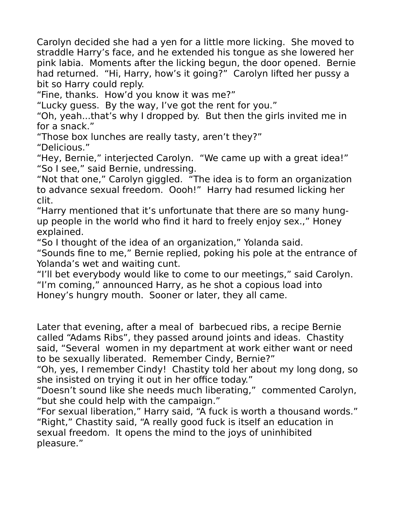Carolyn decided she had a yen for a little more licking. She moved to straddle Harry's face, and he extended his tongue as she lowered her pink labia. Moments after the licking begun, the door opened. Bernie had returned. "Hi, Harry, how's it going?" Carolyn lifted her pussy a bit so Harry could reply.

"Fine, thanks. How'd you know it was me?"

"Lucky guess. By the way, I've got the rent for you."

"Oh, yeah...that's why I dropped by. But then the girls invited me in for a snack."

"Those box lunches are really tasty, aren't they?" "Delicious."

"Hey, Bernie," interjected Carolyn. "We came up with a great idea!" "So I see," said Bernie, undressing.

"Not that one," Carolyn giggled. "The idea is to form an organization to advance sexual freedom. Oooh!" Harry had resumed licking her clit.

"Harry mentioned that it's unfortunate that there are so many hungup people in the world who find it hard to freely enjoy sex.," Honey explained.

"So I thought of the idea of an organization," Yolanda said.

"Sounds fine to me," Bernie replied, poking his pole at the entrance of Yolanda's wet and waiting cunt.

"I'll bet everybody would like to come to our meetings," said Carolyn. "I'm coming," announced Harry, as he shot a copious load into Honey's hungry mouth. Sooner or later, they all came.

Later that evening, after a meal of barbecued ribs, a recipe Bernie called "Adams Ribs", they passed around joints and ideas. Chastity said, "Several women in my department at work either want or need to be sexually liberated. Remember Cindy, Bernie?"

"Oh, yes, I remember Cindy! Chastity told her about my long dong, so she insisted on trying it out in her office today."

"Doesn't sound like she needs much liberating," commented Carolyn, "but she could help with the campaign."

"For sexual liberation," Harry said, "A fuck is worth a thousand words." "Right," Chastity said, "A really good fuck is itself an education in sexual freedom. It opens the mind to the joys of uninhibited pleasure."